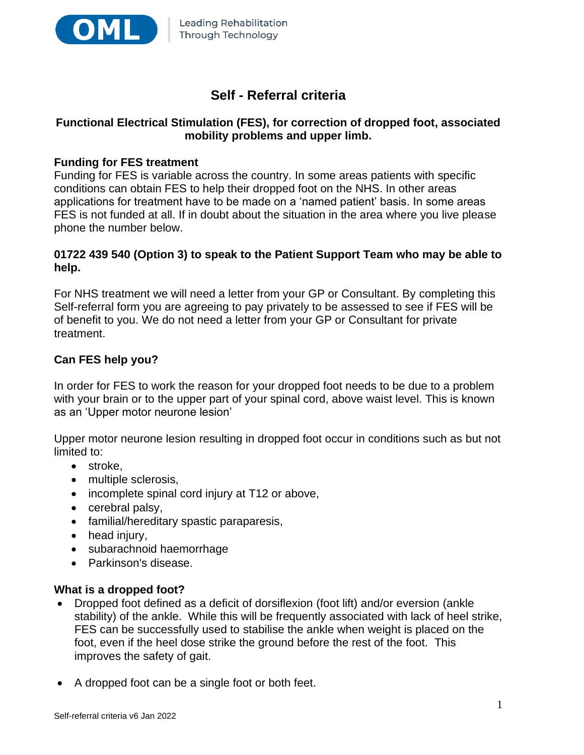

# **Self - Referral criteria**

# **Functional Electrical Stimulation (FES), for correction of dropped foot, associated mobility problems and upper limb.**

## **Funding for FES treatment**

Funding for FES is variable across the country. In some areas patients with specific conditions can obtain FES to help their dropped foot on the NHS. In other areas applications for treatment have to be made on a 'named patient' basis. In some areas FES is not funded at all. If in doubt about the situation in the area where you live please phone the number below.

## **01722 439 540 (Option 3) to speak to the Patient Support Team who may be able to help.**

For NHS treatment we will need a letter from your GP or Consultant. By completing this Self-referral form you are agreeing to pay privately to be assessed to see if FES will be of benefit to you. We do not need a letter from your GP or Consultant for private treatment.

# **Can FES help you?**

In order for FES to work the reason for your dropped foot needs to be due to a problem with your brain or to the upper part of your spinal cord, above waist level. This is known as an 'Upper motor neurone lesion'

Upper motor neurone lesion resulting in dropped foot occur in conditions such as but not limited to:

- stroke,
- multiple sclerosis,
- incomplete spinal cord injury at T12 or above,
- cerebral palsy,
- familial/hereditary spastic paraparesis,
- head injury,
- subarachnoid haemorrhage
- Parkinson's disease.

## **What is a dropped foot?**

- Dropped foot defined as a deficit of dorsiflexion (foot lift) and/or eversion (ankle stability) of the ankle. While this will be frequently associated with lack of heel strike, FES can be successfully used to stabilise the ankle when weight is placed on the foot, even if the heel dose strike the ground before the rest of the foot. This improves the safety of gait.
- A dropped foot can be a single foot or both feet.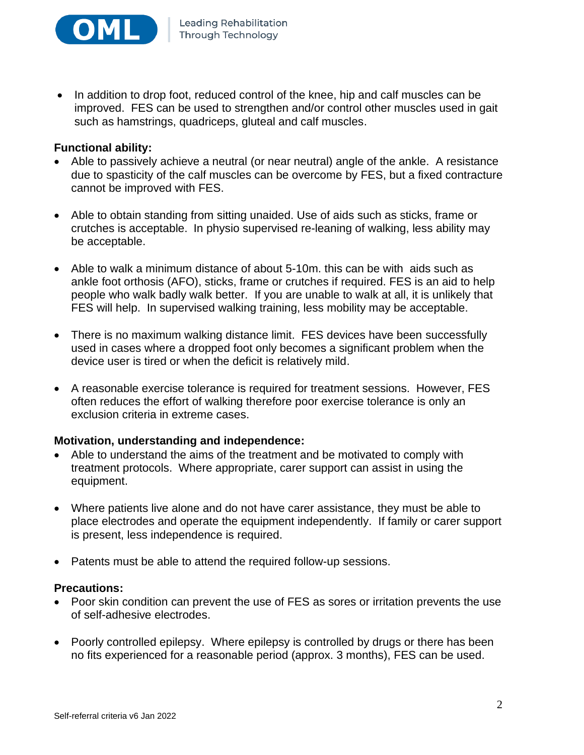

• In addition to drop foot, reduced control of the knee, hip and calf muscles can be improved. FES can be used to strengthen and/or control other muscles used in gait such as hamstrings, quadriceps, gluteal and calf muscles.

## **Functional ability:**

- Able to passively achieve a neutral (or near neutral) angle of the ankle. A resistance due to spasticity of the calf muscles can be overcome by FES, but a fixed contracture cannot be improved with FES.
- Able to obtain standing from sitting unaided. Use of aids such as sticks, frame or crutches is acceptable. In physio supervised re-leaning of walking, less ability may be acceptable.
- Able to walk a minimum distance of about 5-10m. this can be with aids such as ankle foot orthosis (AFO), sticks, frame or crutches if required. FES is an aid to help people who walk badly walk better. If you are unable to walk at all, it is unlikely that FES will help. In supervised walking training, less mobility may be acceptable.
- There is no maximum walking distance limit. FES devices have been successfully used in cases where a dropped foot only becomes a significant problem when the device user is tired or when the deficit is relatively mild.
- A reasonable exercise tolerance is required for treatment sessions. However, FES often reduces the effort of walking therefore poor exercise tolerance is only an exclusion criteria in extreme cases.

## **Motivation, understanding and independence:**

- Able to understand the aims of the treatment and be motivated to comply with treatment protocols. Where appropriate, carer support can assist in using the equipment.
- Where patients live alone and do not have carer assistance, they must be able to place electrodes and operate the equipment independently. If family or carer support is present, less independence is required.
- Patents must be able to attend the required follow-up sessions.

#### **Precautions:**

- Poor skin condition can prevent the use of FES as sores or irritation prevents the use of self-adhesive electrodes.
- Poorly controlled epilepsy. Where epilepsy is controlled by drugs or there has been no fits experienced for a reasonable period (approx. 3 months), FES can be used.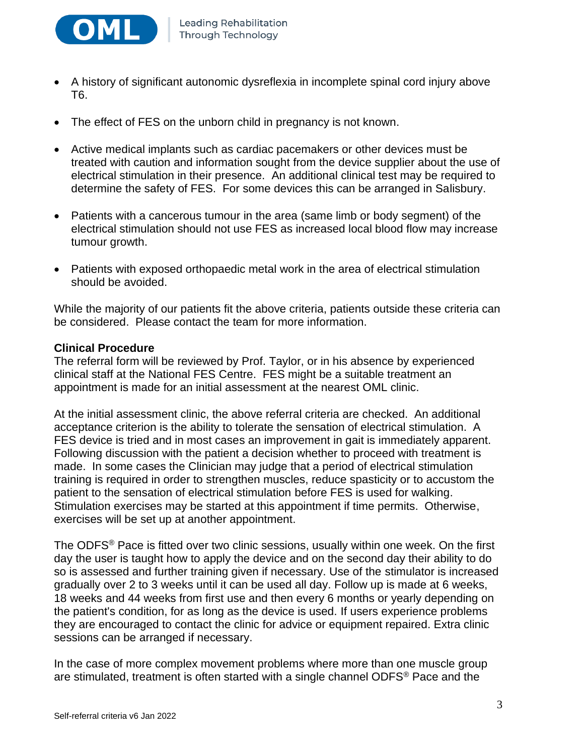

- A history of significant autonomic dysreflexia in incomplete spinal cord injury above T6.
- The effect of FES on the unborn child in pregnancy is not known.
- Active medical implants such as cardiac pacemakers or other devices must be treated with caution and information sought from the device supplier about the use of electrical stimulation in their presence. An additional clinical test may be required to determine the safety of FES. For some devices this can be arranged in Salisbury.
- Patients with a cancerous tumour in the area (same limb or body segment) of the electrical stimulation should not use FES as increased local blood flow may increase tumour growth.
- Patients with exposed orthopaedic metal work in the area of electrical stimulation should be avoided.

While the majority of our patients fit the above criteria, patients outside these criteria can be considered. Please contact the team for more information.

## **Clinical Procedure**

The referral form will be reviewed by Prof. Taylor, or in his absence by experienced clinical staff at the National FES Centre. FES might be a suitable treatment an appointment is made for an initial assessment at the nearest OML clinic.

At the initial assessment clinic, the above referral criteria are checked. An additional acceptance criterion is the ability to tolerate the sensation of electrical stimulation. A FES device is tried and in most cases an improvement in gait is immediately apparent. Following discussion with the patient a decision whether to proceed with treatment is made. In some cases the Clinician may judge that a period of electrical stimulation training is required in order to strengthen muscles, reduce spasticity or to accustom the patient to the sensation of electrical stimulation before FES is used for walking. Stimulation exercises may be started at this appointment if time permits. Otherwise, exercises will be set up at another appointment.

The ODFS® Pace is fitted over two clinic sessions, usually within one week. On the first day the user is taught how to apply the device and on the second day their ability to do so is assessed and further training given if necessary. Use of the stimulator is increased gradually over 2 to 3 weeks until it can be used all day. Follow up is made at 6 weeks, 18 weeks and 44 weeks from first use and then every 6 months or yearly depending on the patient's condition, for as long as the device is used. If users experience problems they are encouraged to contact the clinic for advice or equipment repaired. Extra clinic sessions can be arranged if necessary.

In the case of more complex movement problems where more than one muscle group are stimulated, treatment is often started with a single channel ODFS® Pace and the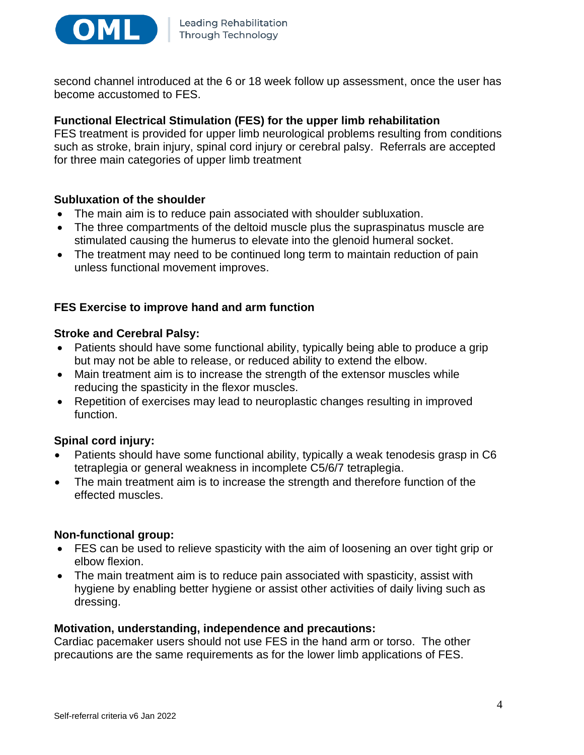

second channel introduced at the 6 or 18 week follow up assessment, once the user has become accustomed to FES.

## **Functional Electrical Stimulation (FES) for the upper limb rehabilitation**

FES treatment is provided for upper limb neurological problems resulting from conditions such as stroke, brain injury, spinal cord injury or cerebral palsy. Referrals are accepted for three main categories of upper limb treatment

## **Subluxation of the shoulder**

- The main aim is to reduce pain associated with shoulder subluxation.
- The three compartments of the deltoid muscle plus the supraspinatus muscle are stimulated causing the humerus to elevate into the glenoid humeral socket.
- The treatment may need to be continued long term to maintain reduction of pain unless functional movement improves.

## **FES Exercise to improve hand and arm function**

#### **Stroke and Cerebral Palsy:**

- Patients should have some functional ability, typically being able to produce a grip but may not be able to release, or reduced ability to extend the elbow.
- Main treatment aim is to increase the strength of the extensor muscles while reducing the spasticity in the flexor muscles.
- Repetition of exercises may lead to neuroplastic changes resulting in improved function.

## **Spinal cord injury:**

- Patients should have some functional ability, typically a weak tenodesis grasp in C6 tetraplegia or general weakness in incomplete C5/6/7 tetraplegia.
- The main treatment aim is to increase the strength and therefore function of the effected muscles.

## **Non-functional group:**

- FES can be used to relieve spasticity with the aim of loosening an over tight grip or elbow flexion.
- The main treatment aim is to reduce pain associated with spasticity, assist with hygiene by enabling better hygiene or assist other activities of daily living such as dressing.

## **Motivation, understanding, independence and precautions:**

Cardiac pacemaker users should not use FES in the hand arm or torso. The other precautions are the same requirements as for the lower limb applications of FES.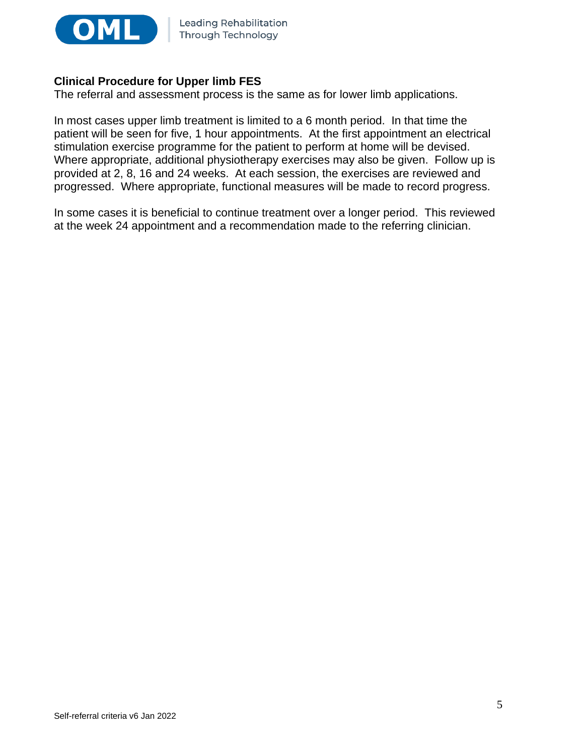

## **Clinical Procedure for Upper limb FES**

The referral and assessment process is the same as for lower limb applications.

In most cases upper limb treatment is limited to a 6 month period. In that time the patient will be seen for five, 1 hour appointments. At the first appointment an electrical stimulation exercise programme for the patient to perform at home will be devised. Where appropriate, additional physiotherapy exercises may also be given. Follow up is provided at 2, 8, 16 and 24 weeks. At each session, the exercises are reviewed and progressed. Where appropriate, functional measures will be made to record progress.

In some cases it is beneficial to continue treatment over a longer period. This reviewed at the week 24 appointment and a recommendation made to the referring clinician.